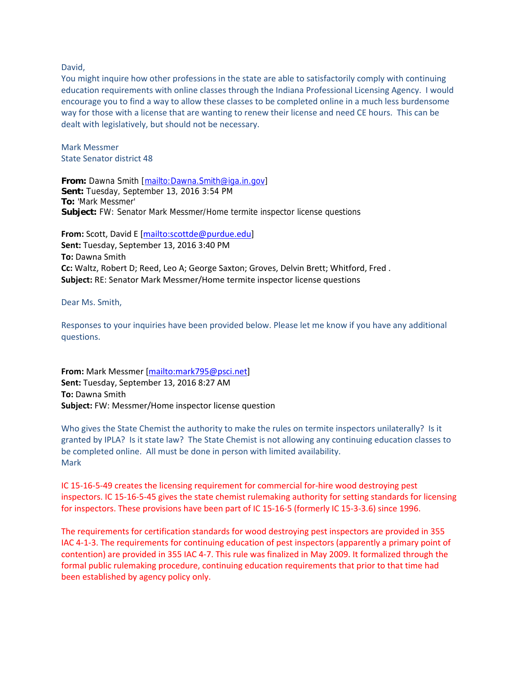David,

You might inquire how other professions in the state are able to satisfactorily comply with continuing education requirements with online classes through the Indiana Professional Licensing Agency. I would encourage you to find a way to allow these classes to be completed online in a much less burdensome way for those with a license that are wanting to renew their license and need CE hours. This can be dealt with legislatively, but should not be necessary.

Mark Messmer State Senator district 48

**From:** Dawna Smith [mailto:Dawna.Smith@iga.in.gov] **Sent:** Tuesday, September 13, 2016 3:54 PM **To:** 'Mark Messmer' **Subject:** FW: Senator Mark Messmer/Home termite inspector license questions

**From:** Scott, David E [mailto:scottde@purdue.edu] **Sent:** Tuesday, September 13, 2016 3:40 PM **To:** Dawna Smith **Cc:** Waltz, Robert D; Reed, Leo A; George Saxton; Groves, Delvin Brett; Whitford, Fred . **Subject:** RE: Senator Mark Messmer/Home termite inspector license questions

Dear Ms. Smith,

Responses to your inquiries have been provided below. Please let me know if you have any additional questions.

**From:** Mark Messmer [mailto:mark795@psci.net] **Sent:** Tuesday, September 13, 2016 8:27 AM **To:** Dawna Smith **Subject:** FW: Messmer/Home inspector license question

Who gives the State Chemist the authority to make the rules on termite inspectors unilaterally? Is it granted by IPLA? Is it state law? The State Chemist is not allowing any continuing education classes to be completed online. All must be done in person with limited availability. Mark

IC 15‐16‐5‐49 creates the licensing requirement for commercial for‐hire wood destroying pest inspectors. IC 15‐16‐5‐45 gives the state chemist rulemaking authority for setting standards for licensing for inspectors. These provisions have been part of IC 15‐16‐5 (formerly IC 15‐3‐3.6) since 1996.

The requirements for certification standards for wood destroying pest inspectors are provided in 355 IAC 4‐1‐3. The requirements for continuing education of pest inspectors (apparently a primary point of contention) are provided in 355 IAC 4‐7. This rule was finalized in May 2009. It formalized through the formal public rulemaking procedure, continuing education requirements that prior to that time had been established by agency policy only.